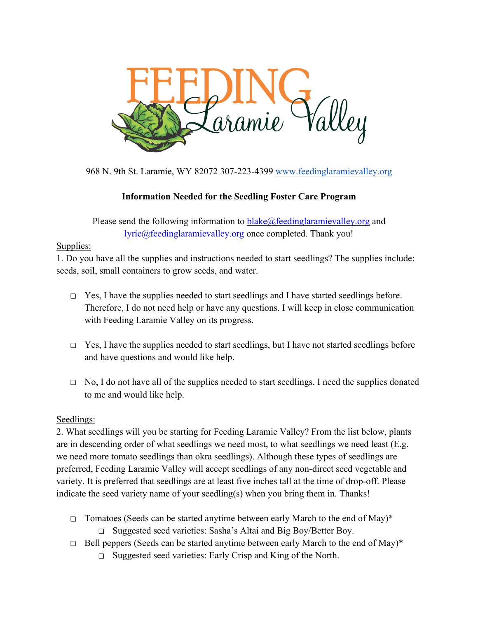

968 N. 9th St. Laramie, WY 82072 307-223-4399 www.feedinglaramievalley.org

# **Information Needed for the Seedling Foster Care Program**

Please send the following information to blake@feedinglaramievalley.org and lyric@feedinglaramievalley.org once completed. Thank you!

### Supplies:

1. Do you have all the supplies and instructions needed to start seedlings? The supplies include: seeds, soil, small containers to grow seeds, and water.

- ❏ Yes, I have the supplies needed to start seedlings and I have started seedlings before. Therefore, I do not need help or have any questions. I will keep in close communication with Feeding Laramie Valley on its progress.
- ❏ Yes, I have the supplies needed to start seedlings, but I have not started seedlings before and have questions and would like help.
- ❏ No, I do not have all of the supplies needed to start seedlings. I need the supplies donated to me and would like help.

### Seedlings:

2. What seedlings will you be starting for Feeding Laramie Valley? From the list below, plants are in descending order of what seedlings we need most, to what seedlings we need least (E.g. we need more tomato seedlings than okra seedlings). Although these types of seedlings are preferred, Feeding Laramie Valley will accept seedlings of any non-direct seed vegetable and variety. It is preferred that seedlings are at least five inches tall at the time of drop-off. Please indicate the seed variety name of your seedling(s) when you bring them in. Thanks!

- ❏ Tomatoes (Seeds can be started anytime between early March to the end of May)\*
	- ❏ Suggested seed varieties: Sasha's Altai and Big Boy/Better Boy.
- $\Box$  Bell peppers (Seeds can be started anytime between early March to the end of May)\*
	- ❏ Suggested seed varieties: Early Crisp and King of the North.